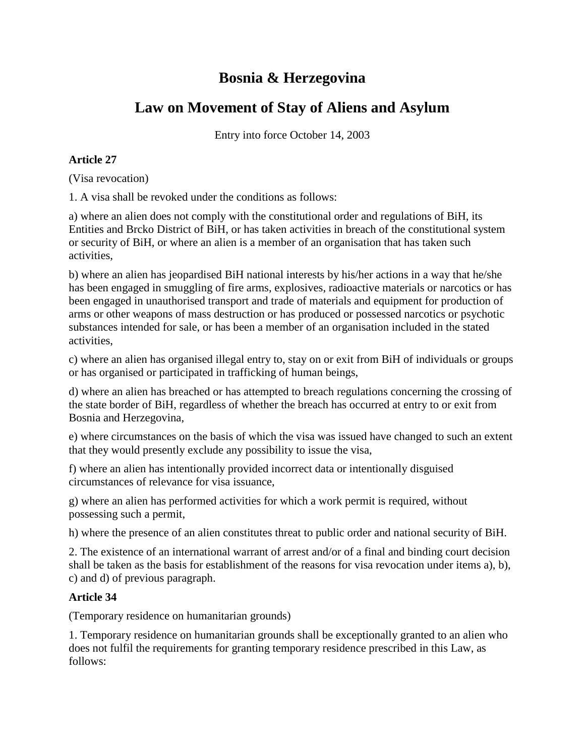# **Bosnia & Herzegovina**

# **Law on Movement of Stay of Aliens and Asylum**

Entry into force October 14, 2003

### **Article 27**

(Visa revocation)

1. A visa shall be revoked under the conditions as follows:

a) where an alien does not comply with the constitutional order and regulations of BiH, its Entities and Brcko District of BiH, or has taken activities in breach of the constitutional system or security of BiH, or where an alien is a member of an organisation that has taken such activities,

b) where an alien has jeopardised BiH national interests by his/her actions in a way that he/she has been engaged in smuggling of fire arms, explosives, radioactive materials or narcotics or has been engaged in unauthorised transport and trade of materials and equipment for production of arms or other weapons of mass destruction or has produced or possessed narcotics or psychotic substances intended for sale, or has been a member of an organisation included in the stated activities,

c) where an alien has organised illegal entry to, stay on or exit from BiH of individuals or groups or has organised or participated in trafficking of human beings,

d) where an alien has breached or has attempted to breach regulations concerning the crossing of the state border of BiH, regardless of whether the breach has occurred at entry to or exit from Bosnia and Herzegovina,

e) where circumstances on the basis of which the visa was issued have changed to such an extent that they would presently exclude any possibility to issue the visa,

f) where an alien has intentionally provided incorrect data or intentionally disguised circumstances of relevance for visa issuance,

g) where an alien has performed activities for which a work permit is required, without possessing such a permit,

h) where the presence of an alien constitutes threat to public order and national security of BiH.

2. The existence of an international warrant of arrest and/or of a final and binding court decision shall be taken as the basis for establishment of the reasons for visa revocation under items a), b), c) and d) of previous paragraph.

## **Article 34**

(Temporary residence on humanitarian grounds)

1. Temporary residence on humanitarian grounds shall be exceptionally granted to an alien who does not fulfil the requirements for granting temporary residence prescribed in this Law, as follows: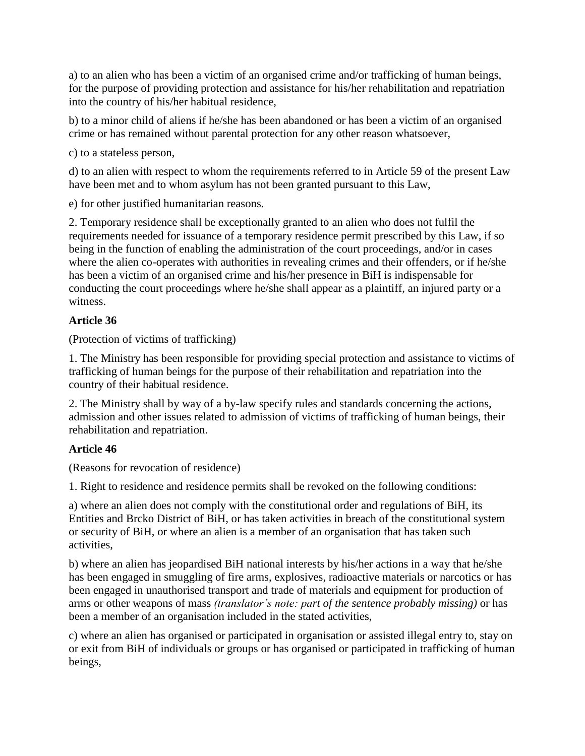a) to an alien who has been a victim of an organised crime and/or trafficking of human beings, for the purpose of providing protection and assistance for his/her rehabilitation and repatriation into the country of his/her habitual residence,

b) to a minor child of aliens if he/she has been abandoned or has been a victim of an organised crime or has remained without parental protection for any other reason whatsoever,

c) to a stateless person,

d) to an alien with respect to whom the requirements referred to in Article 59 of the present Law have been met and to whom asylum has not been granted pursuant to this Law,

e) for other justified humanitarian reasons.

2. Temporary residence shall be exceptionally granted to an alien who does not fulfil the requirements needed for issuance of a temporary residence permit prescribed by this Law, if so being in the function of enabling the administration of the court proceedings, and/or in cases where the alien co-operates with authorities in revealing crimes and their offenders, or if he/she has been a victim of an organised crime and his/her presence in BiH is indispensable for conducting the court proceedings where he/she shall appear as a plaintiff, an injured party or a witness.

#### **Article 36**

(Protection of victims of trafficking)

1. The Ministry has been responsible for providing special protection and assistance to victims of trafficking of human beings for the purpose of their rehabilitation and repatriation into the country of their habitual residence.

2. The Ministry shall by way of a by-law specify rules and standards concerning the actions, admission and other issues related to admission of victims of trafficking of human beings, their rehabilitation and repatriation.

## **Article 46**

(Reasons for revocation of residence)

1. Right to residence and residence permits shall be revoked on the following conditions:

a) where an alien does not comply with the constitutional order and regulations of BiH, its Entities and Brcko District of BiH, or has taken activities in breach of the constitutional system or security of BiH, or where an alien is a member of an organisation that has taken such activities,

b) where an alien has jeopardised BiH national interests by his/her actions in a way that he/she has been engaged in smuggling of fire arms, explosives, radioactive materials or narcotics or has been engaged in unauthorised transport and trade of materials and equipment for production of arms or other weapons of mass *(translator's note: part of the sentence probably missing)* or has been a member of an organisation included in the stated activities,

c) where an alien has organised or participated in organisation or assisted illegal entry to, stay on or exit from BiH of individuals or groups or has organised or participated in trafficking of human beings,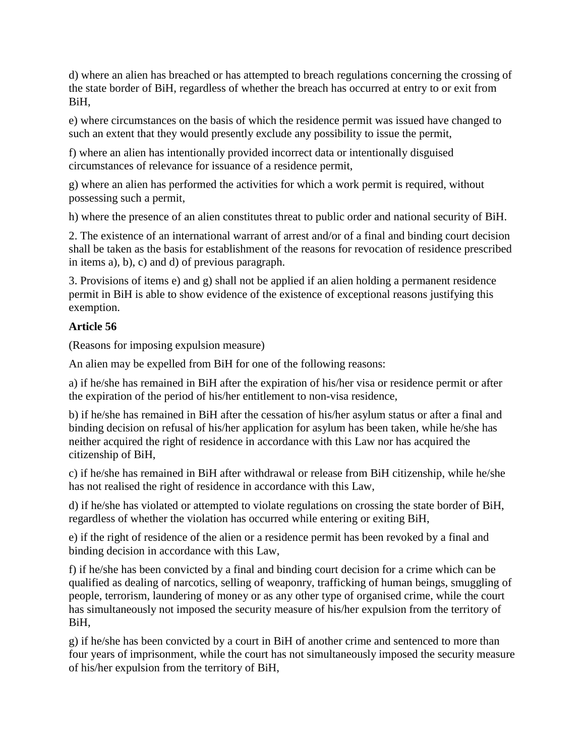d) where an alien has breached or has attempted to breach regulations concerning the crossing of the state border of BiH, regardless of whether the breach has occurred at entry to or exit from BiH,

e) where circumstances on the basis of which the residence permit was issued have changed to such an extent that they would presently exclude any possibility to issue the permit,

f) where an alien has intentionally provided incorrect data or intentionally disguised circumstances of relevance for issuance of a residence permit,

g) where an alien has performed the activities for which a work permit is required, without possessing such a permit,

h) where the presence of an alien constitutes threat to public order and national security of BiH.

2. The existence of an international warrant of arrest and/or of a final and binding court decision shall be taken as the basis for establishment of the reasons for revocation of residence prescribed in items a), b), c) and d) of previous paragraph.

3. Provisions of items e) and g) shall not be applied if an alien holding a permanent residence permit in BiH is able to show evidence of the existence of exceptional reasons justifying this exemption.

### **Article 56**

(Reasons for imposing expulsion measure)

An alien may be expelled from BiH for one of the following reasons:

a) if he/she has remained in BiH after the expiration of his/her visa or residence permit or after the expiration of the period of his/her entitlement to non-visa residence,

b) if he/she has remained in BiH after the cessation of his/her asylum status or after a final and binding decision on refusal of his/her application for asylum has been taken, while he/she has neither acquired the right of residence in accordance with this Law nor has acquired the citizenship of BiH,

c) if he/she has remained in BiH after withdrawal or release from BiH citizenship, while he/she has not realised the right of residence in accordance with this Law,

d) if he/she has violated or attempted to violate regulations on crossing the state border of BiH, regardless of whether the violation has occurred while entering or exiting BiH,

e) if the right of residence of the alien or a residence permit has been revoked by a final and binding decision in accordance with this Law,

f) if he/she has been convicted by a final and binding court decision for a crime which can be qualified as dealing of narcotics, selling of weaponry, trafficking of human beings, smuggling of people, terrorism, laundering of money or as any other type of organised crime, while the court has simultaneously not imposed the security measure of his/her expulsion from the territory of BiH,

g) if he/she has been convicted by a court in BiH of another crime and sentenced to more than four years of imprisonment, while the court has not simultaneously imposed the security measure of his/her expulsion from the territory of BiH,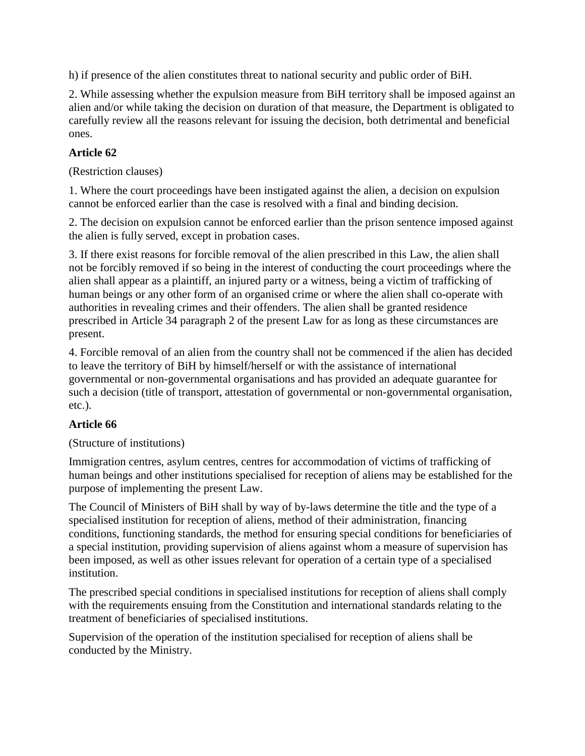h) if presence of the alien constitutes threat to national security and public order of BiH.

2. While assessing whether the expulsion measure from BiH territory shall be imposed against an alien and/or while taking the decision on duration of that measure, the Department is obligated to carefully review all the reasons relevant for issuing the decision, both detrimental and beneficial ones.

#### **Article 62**

(Restriction clauses)

1. Where the court proceedings have been instigated against the alien, a decision on expulsion cannot be enforced earlier than the case is resolved with a final and binding decision.

2. The decision on expulsion cannot be enforced earlier than the prison sentence imposed against the alien is fully served, except in probation cases.

3. If there exist reasons for forcible removal of the alien prescribed in this Law, the alien shall not be forcibly removed if so being in the interest of conducting the court proceedings where the alien shall appear as a plaintiff, an injured party or a witness, being a victim of trafficking of human beings or any other form of an organised crime or where the alien shall co-operate with authorities in revealing crimes and their offenders. The alien shall be granted residence prescribed in Article 34 paragraph 2 of the present Law for as long as these circumstances are present.

4. Forcible removal of an alien from the country shall not be commenced if the alien has decided to leave the territory of BiH by himself/herself or with the assistance of international governmental or non-governmental organisations and has provided an adequate guarantee for such a decision (title of transport, attestation of governmental or non-governmental organisation, etc.).

#### **Article 66**

(Structure of institutions)

Immigration centres, asylum centres, centres for accommodation of victims of trafficking of human beings and other institutions specialised for reception of aliens may be established for the purpose of implementing the present Law.

The Council of Ministers of BiH shall by way of by-laws determine the title and the type of a specialised institution for reception of aliens, method of their administration, financing conditions, functioning standards, the method for ensuring special conditions for beneficiaries of a special institution, providing supervision of aliens against whom a measure of supervision has been imposed, as well as other issues relevant for operation of a certain type of a specialised institution.

The prescribed special conditions in specialised institutions for reception of aliens shall comply with the requirements ensuing from the Constitution and international standards relating to the treatment of beneficiaries of specialised institutions.

Supervision of the operation of the institution specialised for reception of aliens shall be conducted by the Ministry.